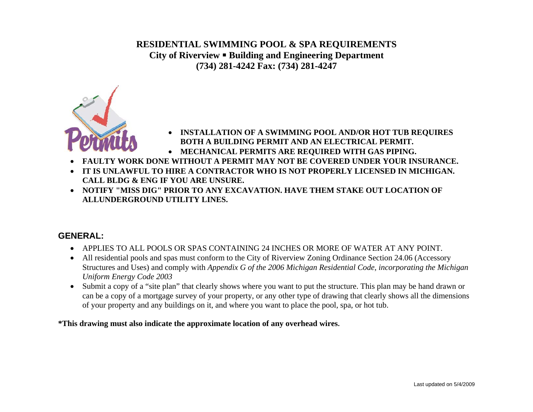# **RESIDENTIAL SWIMMING POOL & SPA REQUIREMENTS City of Riverview Building and Engineering Department (734) 281-4242 Fax: (734) 281-4247**



- **INSTALLATION OF A SWIMMING POOL AND/OR HOT TUB REQUIRES BOTH A BUILDING PERMIT AND AN ELECTRICAL PERMIT.**
- **MECHANICAL PERMITS ARE REQUIRED WITH GAS PIPING.**
- •**FAULTY WORK DONE WITHOUT A PERMIT MAY NOT BE COVERED UNDER YOUR INSURANCE.**
- • **IT IS UNLAWFUL TO HIRE A CONTRACTOR WHO IS NOT PROPERLY LICENSED IN MICHIGAN. CALL BLDG & ENG IF YOU ARE UNSURE.**
- **NOTIFY "MISS DIG" PRIOR TO ANY EXCAVATION. HAVE THEM STAKE OUT LOCATION OF ALLUNDERGROUND UTILITY LINES.**

# **GENERAL:**

- APPLIES TO ALL POOLS OR SPAS CONTAINING 24 INCHES OR MORE OF WATER AT ANY POINT.
- All residential pools and spas must conform to the City of Riverview Zoning Ordinance Section 24.06 (Accessory Structures and Uses) and comply with *Appendix G of the 2006 Michigan Residential Code, incorporating the Michigan Uniform Energy Code 2003*
- Submit a copy of a "site plan" that clearly shows where you want to put the structure. This plan may be hand drawn or can be a copy of a mortgage survey of your property, or any other type of drawing that clearly shows all the dimensions of your property and any buildings on it, and where you want to place the pool, spa, or hot tub.

**\*This drawing must also indicate the approximate location of any overhead wires.**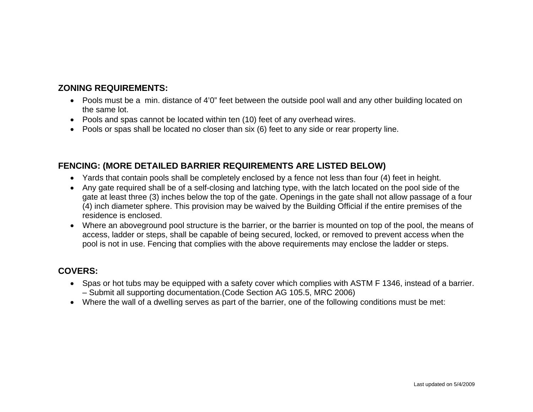# **ZONING REQUIREMENTS:**

- Pools must be a min. distance of 4'0" feet between the outside pool wall and any other building located on the same lot.
- Pools and spas cannot be located within ten (10) feet of any overhead wires.
- Pools or spas shall be located no closer than six (6) feet to any side or rear property line.

# **FENCING: (MORE DETAILED BARRIER REQUIREMENTS ARE LISTED BELOW)**

- Yards that contain pools shall be completely enclosed by a fence not less than four (4) feet in height.
- Any gate required shall be of a self-closing and latching type, with the latch located on the pool side of the gate at least three (3) inches below the top of the gate. Openings in the gate shall not allow passage of a four (4) inch diameter sphere. This provision may be waived by the Building Official if the entire premises of the residence is enclosed.
- Where an aboveground pool structure is the barrier, or the barrier is mounted on top of the pool, the means of access, ladder or steps, shall be capable of being secured, locked, or removed to prevent access when the pool is not in use. Fencing that complies with the above requirements may enclose the ladder or steps.

# **COVERS:**

- Spas or hot tubs may be equipped with a safety cover which complies with ASTM F 1346, instead of a barrier. – Submit all supporting documentation.(Code Section AG 105.5, MRC 2006)
- Where the wall of a dwelling serves as part of the barrier, one of the following conditions must be met: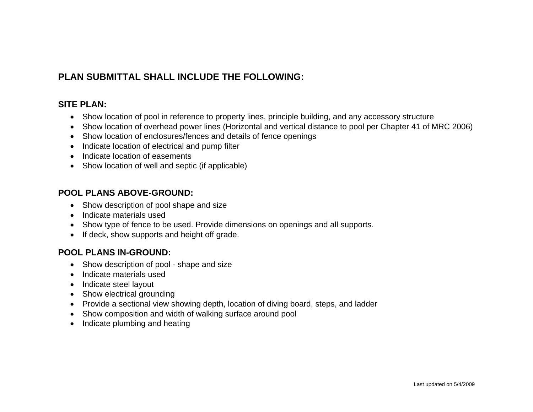# **PLAN SUBMITTAL SHALL INCLUDE THE FOLLOWING:**

#### **SITE PLAN:**

- Show location of pool in reference to property lines, principle building, and any accessory structure
- Show location of overhead power lines (Horizontal and vertical distance to pool per Chapter 41 of MRC 2006)
- Show location of enclosures/fences and details of fence openings
- Indicate location of electrical and pump filter
- Indicate location of easements
- Show location of well and septic (if applicable)

#### **POOL PLANS ABOVE-GROUND:**

- Show description of pool shape and size
- Indicate materials used
- Show type of fence to be used. Provide dimensions on openings and all supports.
- If deck, show supports and height off grade.

#### **POOL PLANS IN-GROUND:**

- Show description of pool shape and size
- Indicate materials used
- Indicate steel layout
- Show electrical grounding
- Provide a sectional view showing depth, location of diving board, steps, and ladder
- Show composition and width of walking surface around pool
- Indicate plumbing and heating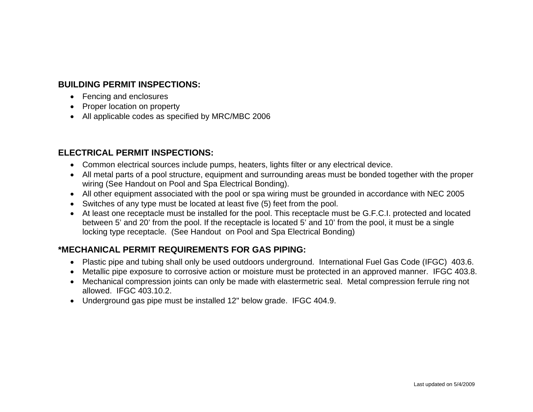#### **BUILDING PERMIT INSPECTIONS:**

- Fencing and enclosures
- Proper location on property
- All applicable codes as specified by MRC/MBC 2006

# **ELECTRICAL PERMIT INSPECTIONS:**

- Common electrical sources include pumps, heaters, lights filter or any electrical device.
- All metal parts of a pool structure, equipment and surrounding areas must be bonded together with the proper wiring (See Handout on Pool and Spa Electrical Bonding).
- All other equipment associated with the pool or spa wiring must be grounded in accordance with NEC 2005
- Switches of any type must be located at least five (5) feet from the pool.
- At least one receptacle must be installed for the pool. This receptacle must be G.F.C.I. protected and located between 5' and 20' from the pool. If the receptacle is located 5' and 10' from the pool, it must be a single locking type receptacle. (See Handout on Pool and Spa Electrical Bonding)

# **\*MECHANICAL PERMIT REQUIREMENTS FOR GAS PIPING:**

- Plastic pipe and tubing shall only be used outdoors underground. International Fuel Gas Code (IFGC) 403.6.
- Metallic pipe exposure to corrosive action or moisture must be protected in an approved manner. IFGC 403.8.
- Mechanical compression joints can only be made with elastermetric seal. Metal compression ferrule ring not allowed. IFGC 403.10.2.
- Underground gas pipe must be installed 12" below grade. IFGC 404.9.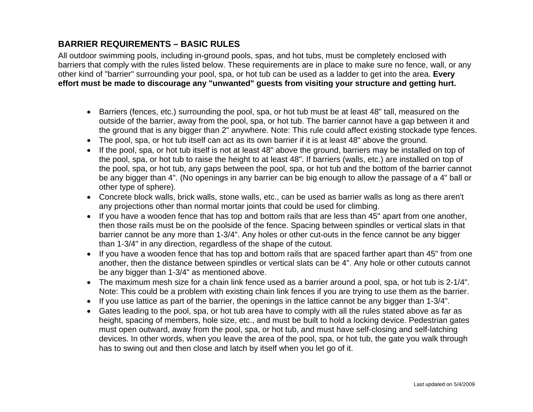# **BARRIER REQUIREMENTS – BASIC RULES**

All outdoor swimming pools, including in-ground pools, spas, and hot tubs, must be completely enclosed with barriers that comply with the rules listed below. These requirements are in place to make sure no fence, wall, or any other kind of "barrier" surrounding your pool, spa, or hot tub can be used as a ladder to get into the area. **Every effort must be made to discourage any "unwanted" guests from visiting your structure and getting hurt.** 

- Barriers (fences, etc.) surrounding the pool, spa, or hot tub must be at least 48" tall, measured on the outside of the barrier, away from the pool, spa, or hot tub. The barrier cannot have a gap between it and the ground that is any bigger than 2" anywhere. Note: This rule could affect existing stockade type fences.
- The pool, spa, or hot tub itself can act as its own barrier if it is at least 48" above the ground.
- If the pool, spa, or hot tub itself is not at least 48" above the ground, barriers may be installed on top of the pool, spa, or hot tub to raise the height to at least 48". If barriers (walls, etc.) are installed on top of the pool, spa, or hot tub, any gaps between the pool, spa, or hot tub and the bottom of the barrier cannot be any bigger than 4". (No openings in any barrier can be big enough to allow the passage of a 4" ball or other type of sphere).
- Concrete block walls, brick walls, stone walls, etc., can be used as barrier walls as long as there aren't any projections other than normal mortar joints that could be used for climbing.
- If you have a wooden fence that has top and bottom rails that are less than 45" apart from one another, then those rails must be on the poolside of the fence. Spacing between spindles or vertical slats in that barrier cannot be any more than 1-3/4". Any holes or other cut-outs in the fence cannot be any bigger than 1-3/4" in any direction, regardless of the shape of the cutout.
- If you have a wooden fence that has top and bottom rails that are spaced farther apart than 45" from one another, then the distance between spindles or vertical slats can be 4". Any hole or other cutouts cannot be any bigger than 1-3/4" as mentioned above.
- The maximum mesh size for a chain link fence used as a barrier around a pool, spa, or hot tub is 2-1/4". Note: This could be a problem with existing chain link fences if you are trying to use them as the barrier.
- If you use lattice as part of the barrier, the openings in the lattice cannot be any bigger than 1-3/4".
- Gates leading to the pool, spa, or hot tub area have to comply with all the rules stated above as far as height, spacing of members, hole size, etc., and must be built to hold a locking device. Pedestrian gates must open outward, away from the pool, spa, or hot tub, and must have self-closing and self-latching devices. In other words, when you leave the area of the pool, spa, or hot tub, the gate you walk through has to swing out and then close and latch by itself when you let go of it.